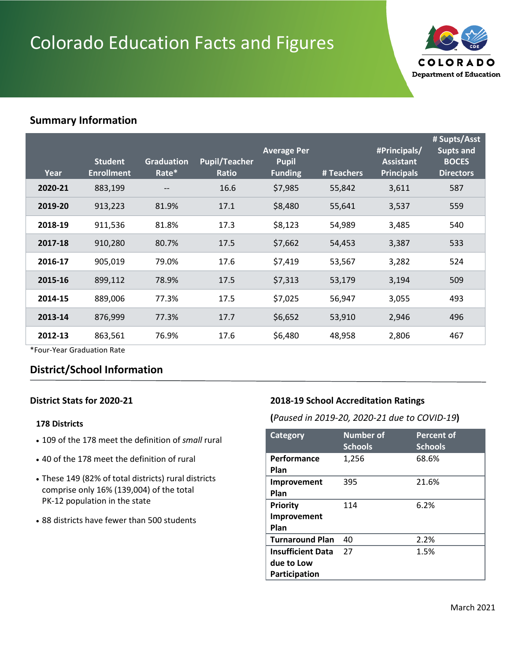# Colorado Education Facts and Figures



## **Summary Information**

| Year    | <b>Student</b><br><b>Enrollment</b> | <b>Graduation</b><br>Rate* | <b>Pupil/Teacher</b><br>Ratio | <b>Average Per</b><br><b>Pupil</b><br><b>Funding</b> | # Teachers | #Principals/<br><b>Assistant</b><br><b>Principals</b> | # Supts/Asst<br><b>Supts and</b><br><b>BOCES</b><br><b>Directors</b> |
|---------|-------------------------------------|----------------------------|-------------------------------|------------------------------------------------------|------------|-------------------------------------------------------|----------------------------------------------------------------------|
| 2020-21 | 883,199                             |                            | 16.6                          | \$7,985                                              | 55,842     | 3,611                                                 | 587                                                                  |
| 2019-20 | 913,223                             | 81.9%                      | 17.1                          | \$8,480                                              | 55,641     | 3,537                                                 | 559                                                                  |
| 2018-19 | 911,536                             | 81.8%                      | 17.3                          | \$8,123                                              | 54,989     | 3,485                                                 | 540                                                                  |
| 2017-18 | 910,280                             | 80.7%                      | 17.5                          | \$7,662                                              | 54,453     | 3,387                                                 | 533                                                                  |
| 2016-17 | 905,019                             | 79.0%                      | 17.6                          | \$7,419                                              | 53,567     | 3,282                                                 | 524                                                                  |
| 2015-16 | 899,112                             | 78.9%                      | 17.5                          | \$7,313                                              | 53,179     | 3,194                                                 | 509                                                                  |
| 2014-15 | 889,006                             | 77.3%                      | 17.5                          | \$7,025                                              | 56,947     | 3,055                                                 | 493                                                                  |
| 2013-14 | 876,999                             | 77.3%                      | 17.7                          | \$6,652                                              | 53,910     | 2,946                                                 | 496                                                                  |
| 2012-13 | 863,561                             | 76.9%                      | 17.6                          | \$6,480                                              | 48,958     | 2,806                                                 | 467                                                                  |

\*Four-Year Graduation Rate

# **District/School Information**

#### **District Stats for 2020-21**

#### **178 Districts**

- 109 of the 178 meet the definition of *small* rural
- 40 of the 178 meet the definition of rural
- These 149 (82% of total districts) rural districts comprise only 16% (139,004) of the total PK-12 population in the state
- 88 districts have fewer than 500 students

#### **2018-19 School Accreditation Ratings**

**(***Paused in 2019-20, 2020-21 due to COVID-19***)**

| <b>Category</b>                                         | <b>Number of</b><br><b>Schools</b> | <b>Percent of</b><br><b>Schools</b> |
|---------------------------------------------------------|------------------------------------|-------------------------------------|
| Performance<br>Plan                                     | 1,256                              | 68.6%                               |
| Improvement<br>Plan                                     | 395                                | 21.6%                               |
| <b>Priority</b><br>Improvement<br>Plan                  | 114                                | 6.2%                                |
| <b>Turnaround Plan</b>                                  | 40                                 | 2.2%                                |
| <b>Insufficient Data</b><br>due to Low<br>Participation | 27                                 | 1.5%                                |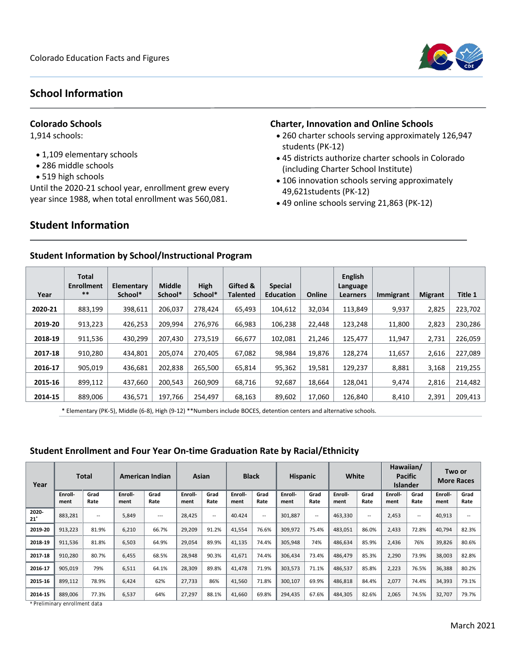

## **School Information**

#### **Colorado Schools**

1,914 schools:

- 1,109 elementary schools
- 286 middle schools
- 519 high schools

Until the 2020-21 school year, enrollment grew every year since 1988, when total enrollment was 560,081.

# **Student Information**

#### **Charter, Innovation and Online Schools**

- 260 charter schools serving approximately 126,947 students (PK-12)
- 45 districts authorize charter schools in Colorado (including Charter School Institute)
- 106 innovation schools serving approximately 49,621students (PK-12)
- 49 online schools serving 21,863 (PK-12)

| Year    | <b>Total</b><br>Enrollment<br>$* *$ | Elementary<br>School* | <b>Middle</b><br>School* | High<br>School* | Gifted &<br><b>Talented</b> | <b>Special</b><br><b>Education</b> | Online | <b>English</b><br>Language<br>Learners | Immigrant | <b>Migrant</b> | Title 1 |
|---------|-------------------------------------|-----------------------|--------------------------|-----------------|-----------------------------|------------------------------------|--------|----------------------------------------|-----------|----------------|---------|
| 2020-21 | 883,199                             | 398,611               | 206.037                  | 278.424         | 65.493                      | 104.612                            | 32,034 | 113,849                                | 9,937     | 2,825          | 223,702 |
| 2019-20 | 913,223                             | 426,253               | 209.994                  | 276.976         | 66.983                      | 106.238                            | 22,448 | 123,248                                | 11,800    | 2,823          | 230,286 |
| 2018-19 | 911,536                             | 430.299               | 207.430                  | 273,519         | 66.677                      | 102,081                            | 21.246 | 125,477                                | 11,947    | 2,731          | 226,059 |
| 2017-18 | 910,280                             | 434.801               | 205.074                  | 270.405         | 67.082                      | 98,984                             | 19.876 | 128,274                                | 11,657    | 2,616          | 227,089 |
| 2016-17 | 905,019                             | 436,681               | 202,838                  | 265,500         | 65,814                      | 95,362                             | 19,581 | 129,237                                | 8,881     | 3,168          | 219,255 |
| 2015-16 | 899,112                             | 437,660               | 200,543                  | 260,909         | 68,716                      | 92,687                             | 18,664 | 128,041                                | 9,474     | 2,816          | 214,482 |
| 2014-15 | 889,006                             | 436,571               | 197,766                  | 254,497         | 68,163                      | 89,602                             | 17,060 | 126,840                                | 8,410     | 2,391          | 209,413 |

#### **Student Information by School/Instructional Program**

\* Elementary (PK-5), Middle (6-8), High (9-12) \*\*Numbers include BOCES, detention centers and alternative schools.

#### **Student Enrollment and Four Year On-time Graduation Rate by Racial/Ethnicity**

| Year            | <b>Total</b>    |              | American Indian |              | <b>Black</b><br>Asian |                   |                 | <b>Hispanic</b> |                 | White        |                 | Hawaiian/<br><b>Pacific</b><br><b>Islander</b> |                 | Two or<br><b>More Races</b> |                 |                          |
|-----------------|-----------------|--------------|-----------------|--------------|-----------------------|-------------------|-----------------|-----------------|-----------------|--------------|-----------------|------------------------------------------------|-----------------|-----------------------------|-----------------|--------------------------|
|                 | Enroll-<br>ment | Grad<br>Rate | Enroll-<br>ment | Grad<br>Rate | Enroll-<br>ment       | Grad<br>Rate      | Enroll-<br>ment | Grad<br>Rate    | Enroll-<br>ment | Grad<br>Rate | Enroll-<br>ment | Grad<br>Rate                                   | Enroll-<br>ment | Grad<br>Rate                | Enroll-<br>ment | Grad<br>Rate             |
| 2020-<br>$21^*$ | 883,281         | --           | 5,849           | ---          | 28,425                | $\qquad \qquad -$ | 40.424          | $ -$            | 301,887         | $ -$         | 463,330         | $ -$                                           | 2,453           | $\overline{\phantom{a}}$    | 40,913          | $\overline{\phantom{a}}$ |
| 2019-20         | 913,223         | 81.9%        | 6,210           | 66.7%        | 29,209                | 91.2%             | 41,554          | 76.6%           | 309,972         | 75.4%        | 483,051         | 86.0%                                          | 2,433           | 72.8%                       | 40,794          | 82.3%                    |
| 2018-19         | 911,536         | 81.8%        | 6,503           | 64.9%        | 29,054                | 89.9%             | 41,135          | 74.4%           | 305,948         | 74%          | 486,634         | 85.9%                                          | 2,436           | 76%                         | 39,826          | 80.6%                    |
| 2017-18         | 910,280         | 80.7%        | 6,455           | 68.5%        | 28,948                | 90.3%             | 41,671          | 74.4%           | 306,434         | 73.4%        | 486,479         | 85.3%                                          | 2,290           | 73.9%                       | 38,003          | 82.8%                    |
| 2016-17         | 905,019         | 79%          | 6,511           | 64.1%        | 28,309                | 89.8%             | 41,478          | 71.9%           | 303,573         | 71.1%        | 486,537         | 85.8%                                          | 2,223           | 76.5%                       | 36,388          | 80.2%                    |
| 2015-16         | 899,112         | 78.9%        | 6,424           | 62%          | 27,733                | 86%               | 41,560          | 71.8%           | 300,107         | 69.9%        | 486,818         | 84.4%                                          | 2,077           | 74.4%                       | 34,393          | 79.1%                    |
| 2014-15         | 889,006         | 77.3%        | 6,537           | 64%          | 27,297                | 88.1%             | 41,660          | 69.8%           | 294,435         | 67.6%        | 484,305         | 82.6%                                          | 2,065           | 74.5%                       | 32,707          | 79.7%                    |

\* Preliminary enrollment data